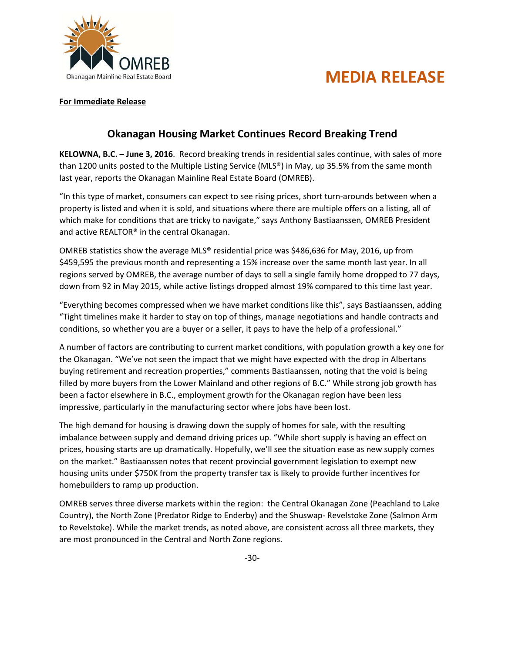

## **MEDIA RELEASE**

## **For Immediate Release**

## **Okanagan Housing Market Continues Record Breaking Trend**

**KELOWNA, B.C. – June 3, 2016**. Record breaking trends in residential sales continue, with sales of more than 1200 units posted to the Multiple Listing Service (MLS®) in May, up 35.5% from the same month last year, reports the Okanagan Mainline Real Estate Board (OMREB).

"In this type of market, consumers can expect to see rising prices, short turn-arounds between when a property is listed and when it is sold, and situations where there are multiple offers on a listing, all of which make for conditions that are tricky to navigate," says Anthony Bastiaanssen, OMREB President and active REALTOR® in the central Okanagan.

OMREB statistics show the average MLS® residential price was \$486,636 for May, 2016, up from \$459,595 the previous month and representing a 15% increase over the same month last year. In all regions served by OMREB, the average number of days to sell a single family home dropped to 77 days, down from 92 in May 2015, while active listings dropped almost 19% compared to this time last year.

"Everything becomes compressed when we have market conditions like this", says Bastiaanssen, adding "Tight timelines make it harder to stay on top of things, manage negotiations and handle contracts and conditions, so whether you are a buyer or a seller, it pays to have the help of a professional."

A number of factors are contributing to current market conditions, with population growth a key one for the Okanagan. "We've not seen the impact that we might have expected with the drop in Albertans buying retirement and recreation properties," comments Bastiaanssen, noting that the void is being filled by more buyers from the Lower Mainland and other regions of B.C." While strong job growth has been a factor elsewhere in B.C., employment growth for the Okanagan region have been less impressive, particularly in the manufacturing sector where jobs have been lost.

The high demand for housing is drawing down the supply of homes for sale, with the resulting imbalance between supply and demand driving prices up. "While short supply is having an effect on prices, housing starts are up dramatically. Hopefully, we'll see the situation ease as new supply comes on the market." Bastiaanssen notes that recent provincial government legislation to exempt new housing units under \$750K from the property transfer tax is likely to provide further incentives for homebuilders to ramp up production.

OMREB serves three diverse markets within the region: the Central Okanagan Zone (Peachland to Lake Country), the North Zone (Predator Ridge to Enderby) and the Shuswap- Revelstoke Zone (Salmon Arm to Revelstoke). While the market trends, as noted above, are consistent across all three markets, they are most pronounced in the Central and North Zone regions.